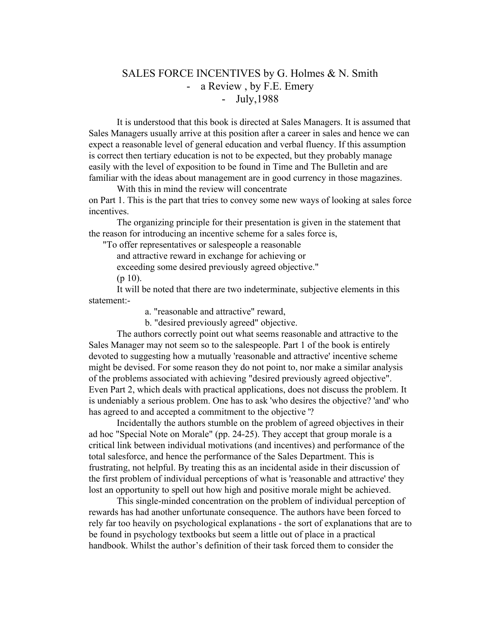## SALES FORCE INCENTIVES by G. Holmes & N. Smith - a Review , by F.E. Emery - July,1988

It is understood that this book is directed at Sales Managers. It is assumed that Sales Managers usually arrive at this position after a career in sales and hence we can expect a reasonable level of general education and verbal fluency. If this assumption is correct then tertiary education is not to be expected, but they probably manage easily with the level of exposition to be found in Time and The Bulletin and are familiar with the ideas about management are in good currency in those magazines.

With this in mind the review will concentrate on Part 1. This is the part that tries to convey some new ways of looking at sales force incentives.

The organizing principle for their presentation is given in the statement that the reason for introducing an incentive scheme for a sales force is,

"To offer representatives or salespeople a reasonable

and attractive reward in exchange for achieving or

exceeding some desired previously agreed objective."

 $(p 10)$ .

It will be noted that there are two indeterminate, subjective elements in this statement:-

a. "reasonable and attractive" reward,

b. "desired previously agreed" objective.

The authors correctly point out what seems reasonable and attractive to the Sales Manager may not seem so to the salespeople. Part 1 of the book is entirely devoted to suggesting how a mutually 'reasonable and attractive' incentive scheme might be devised. For some reason they do not point to, nor make a similar analysis of the problems associated with achieving "desired previously agreed objective". Even Part 2, which deals with practical applications, does not discuss the problem. It is undeniably a serious problem. One has to ask 'who desires the objective? 'and' who has agreed to and accepted a commitment to the objective '?

Incidentally the authors stumble on the problem of agreed objectives in their ad hoc "Special Note on Morale" (pp. 24-25). They accept that group morale is a critical link between individual motivations (and incentives) and performance of the total salesforce, and hence the performance of the Sales Department. This is frustrating, not helpful. By treating this as an incidental aside in their discussion of the first problem of individual perceptions of what is 'reasonable and attractive' they lost an opportunity to spell out how high and positive morale might be achieved.

This single-minded concentration on the problem of individual perception of rewards has had another unfortunate consequence. The authors have been forced to rely far too heavily on psychological explanations - the sort of explanations that are to be found in psychology textbooks but seem a little out of place in a practical handbook. Whilst the author's definition of their task forced them to consider the